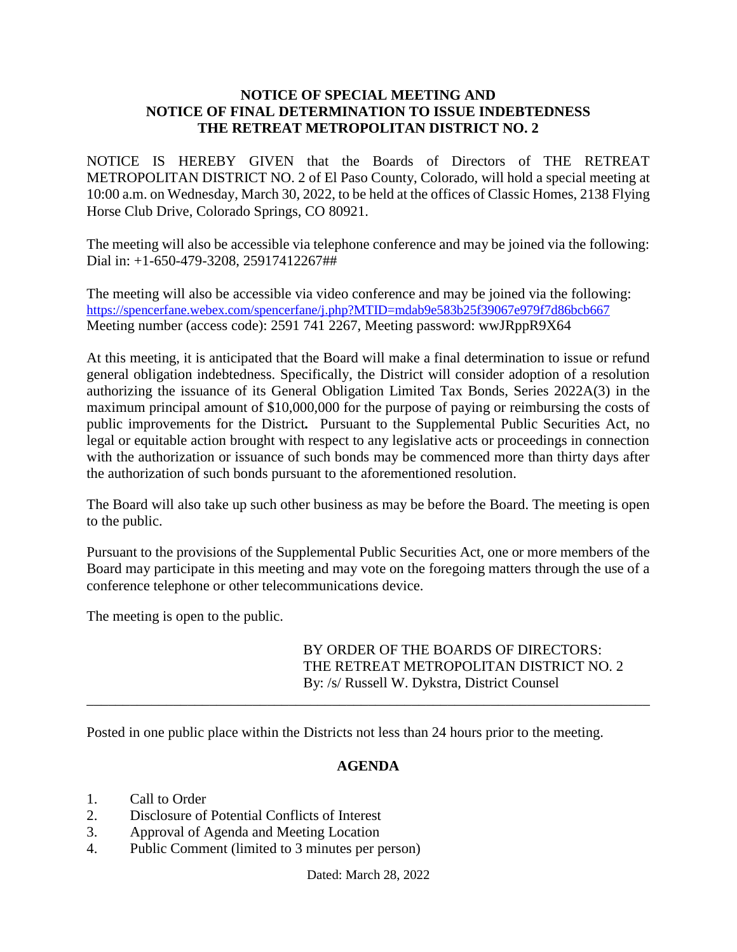## **NOTICE OF SPECIAL MEETING AND NOTICE OF FINAL DETERMINATION TO ISSUE INDEBTEDNESS THE RETREAT METROPOLITAN DISTRICT NO. 2**

NOTICE IS HEREBY GIVEN that the Boards of Directors of THE RETREAT METROPOLITAN DISTRICT NO. 2 of El Paso County, Colorado, will hold a special meeting at 10:00 a.m. on Wednesday, March 30, 2022, to be held at the offices of Classic Homes, 2138 Flying Horse Club Drive, Colorado Springs, CO 80921.

The meeting will also be accessible via telephone conference and may be joined via the following: Dial in: +1-650-479-3208, 25917412267##

The meeting will also be accessible via video conference and may be joined via the following: <https://spencerfane.webex.com/spencerfane/j.php?MTID=mdab9e583b25f39067e979f7d86bcb667> Meeting number (access code): 2591 741 2267, Meeting password: wwJRppR9X64

At this meeting, it is anticipated that the Board will make a final determination to issue or refund general obligation indebtedness. Specifically, the District will consider adoption of a resolution authorizing the issuance of its General Obligation Limited Tax Bonds, Series 2022A(3) in the maximum principal amount of \$10,000,000 for the purpose of paying or reimbursing the costs of public improvements for the District*.* Pursuant to the Supplemental Public Securities Act, no legal or equitable action brought with respect to any legislative acts or proceedings in connection with the authorization or issuance of such bonds may be commenced more than thirty days after the authorization of such bonds pursuant to the aforementioned resolution.

The Board will also take up such other business as may be before the Board. The meeting is open to the public.

Pursuant to the provisions of the Supplemental Public Securities Act, one or more members of the Board may participate in this meeting and may vote on the foregoing matters through the use of a conference telephone or other telecommunications device.

The meeting is open to the public.

BY ORDER OF THE BOARDS OF DIRECTORS: THE RETREAT METROPOLITAN DISTRICT NO. 2 By: /s/ Russell W. Dykstra, District Counsel

Posted in one public place within the Districts not less than 24 hours prior to the meeting.

## **AGENDA**

\_\_\_\_\_\_\_\_\_\_\_\_\_\_\_\_\_\_\_\_\_\_\_\_\_\_\_\_\_\_\_\_\_\_\_\_\_\_\_\_\_\_\_\_\_\_\_\_\_\_\_\_\_\_\_\_\_\_\_\_\_\_\_\_\_\_\_\_\_\_\_\_\_\_\_\_\_\_

- 1. Call to Order
- 2. Disclosure of Potential Conflicts of Interest
- 3. Approval of Agenda and Meeting Location
- 4. Public Comment (limited to 3 minutes per person)